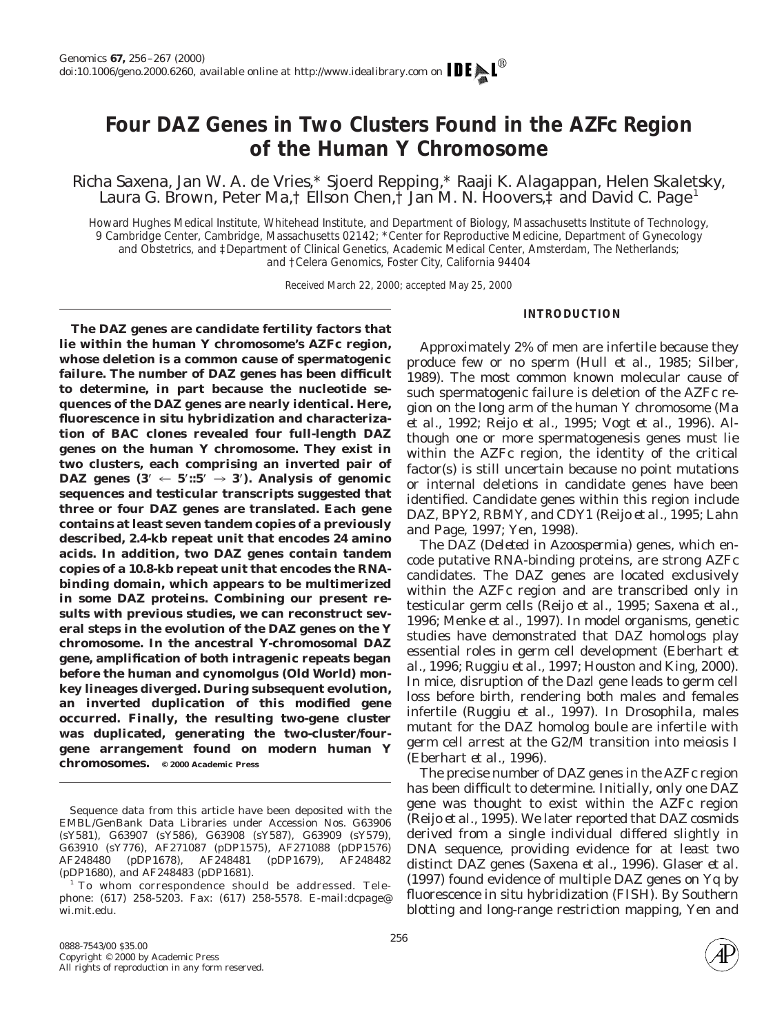# **Four** *DAZ* **Genes in Two Clusters Found in the** *AZFc* **Region of the Human Y Chromosome**

Richa Saxena, Jan W. A. de Vries,\* Sjoerd Repping,\* Raaji K. Alagappan, Helen Skaletsky, Laura G. Brown, Peter Ma, Fellson Chen, FJan M. N. Hoovers,  $\ddagger$  and David C. Page<sup>1</sup>

*Howard Hughes Medical Institute, Whitehead Institute, and Department of Biology, Massachusetts Institute of Technology, 9 Cambridge Center, Cambridge, Massachusetts 02142;* \**Center for Reproductive Medicine, Department of Gynecology and Obstetrics, and* ‡*Department of Clinical Genetics, Academic Medical Center, Amsterdam, The Netherlands; and* †*Celera Genomics, Foster City, California 94404*

Received March 22, 2000; accepted May 25, 2000

#### **INTRODUCTION**

**The** *DAZ* **genes are candidate fertility factors that lie within the human Y chromosome's** *AZFc* **region, whose deletion is a common cause of spermatogenic failure. The number of** *DAZ* **genes has been difficult to determine, in part because the nucleotide sequences of the** *DAZ* **genes are nearly identical. Here, fluorescence** *in situ* **hybridization and characterization of BAC clones revealed four full-length** *DAZ* **genes on the human Y chromosome. They exist in two clusters, each comprising an inverted pair of** *DAZ* genes  $(3' \leftarrow 5'::5' \rightarrow 3')$ . Analysis of genomic **sequences and testicular transcripts suggested that three or four** *DAZ* **genes are translated. Each gene contains at least seven tandem copies of a previously described, 2.4-kb repeat unit that encodes 24 amino acids. In addition, two** *DAZ* **genes contain tandem copies of a 10.8-kb repeat unit that encodes the RNAbinding domain, which appears to be multimerized in some DAZ proteins. Combining our present results with previous studies, we can reconstruct several steps in the evolution of the** *DAZ* **genes on the Y chromosome. In the ancestral Y-chromosomal** *DAZ* **gene, amplification of both intragenic repeats began before the human and cynomolgus (Old World) monkey lineages diverged. During subsequent evolution, an inverted duplication of this modified gene occurred. Finally, the resulting two-gene cluster was duplicated, generating the two-cluster/fourgene arrangement found on modern human Y chromosomes. © 2000 Academic Press**

Approximately 2% of men are infertile because they produce few or no sperm (Hull *et al.,* 1985; Silber, 1989). The most common known molecular cause of such spermatogenic failure is deletion of the *AZFc* region on the long arm of the human Y chromosome (Ma *et al.,* 1992; Reijo *et al.,* 1995; Vogt *et al.,* 1996). Although one or more spermatogenesis genes must lie within the *AZFc* region, the identity of the critical factor(s) is still uncertain because no point mutations or internal deletions in candidate genes have been identified. Candidate genes within this region include *DAZ, BPY2, RBMY,* and *CDY1* (Reijo *et al.,* 1995; Lahn and Page, 1997; Yen, 1998).

The *DAZ* (*Deleted in Azoospermia*) genes, which encode putative RNA-binding proteins, are strong *AZFc* candidates. The *DAZ* genes are located exclusively within the *AZFc* region and are transcribed only in testicular germ cells (Reijo *et al.,* 1995; Saxena *et al.,* 1996; Menke *et al.,* 1997). In model organisms, genetic studies have demonstrated that *DAZ* homologs play essential roles in germ cell development (Eberhart *et al.,* 1996; Ruggiu *et al.,* 1997; Houston and King, 2000). In mice, disruption of the *Dazl* gene leads to germ cell loss before birth, rendering both males and females infertile (Ruggiu *et al.,* 1997). In *Drosophila,* males mutant for the *DAZ* homolog *boule* are infertile with germ cell arrest at the G2/M transition into meiosis I (Eberhart *et al.,* 1996).

The precise number of *DAZ* genes in the *AZFc* region has been difficult to determine. Initially, only one *DAZ* gene was thought to exist within the *AZFc* region (Reijo *et al.,* 1995). We later reported that *DAZ* cosmids derived from a single individual differed slightly in DNA sequence, providing evidence for at least two distinct *DAZ* genes (Saxena *et al.,* 1996). Glaser *et al.* (1997) found evidence of multiple *DAZ* genes on Yq by fluorescence *in situ* hybridization (FISH). By Southern blotting and long-range restriction mapping, Yen and



Sequence data from this article have been deposited with the EMBL/GenBank Data Libraries under Accession Nos. G63906 (sY581), G63907 (sY586), G63908 (sY587), G63909 (sY579), G63910 (sY776), AF271087 (pDP1575), AF271088 (pDP1576) AF248480 (pDP1678), AF248481 (pDP1679), AF248482 (pDP1680), and AF248483 (pDP1681).

<sup>&</sup>lt;sup>1</sup> To whom correspondence should be addressed. Telephone: (617) 258-5203. Fax: (617) 258-5578. E-mail:dcpage@ wi.mit.edu.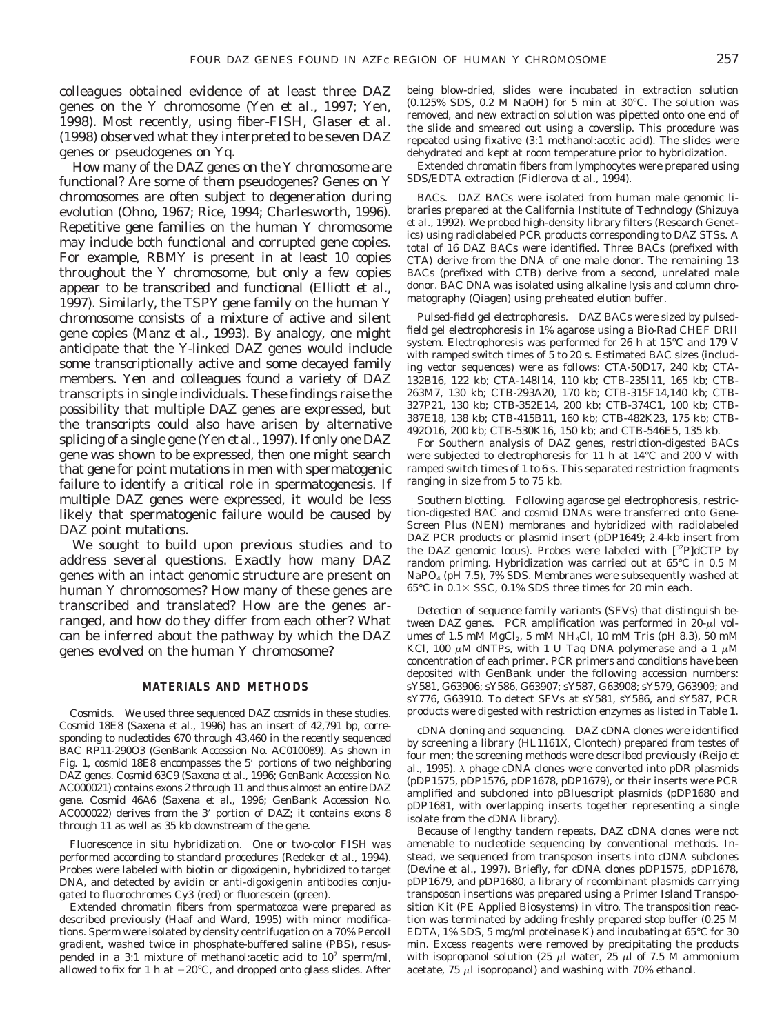colleagues obtained evidence of at least three *DAZ* genes on the Y chromosome (Yen *et al.,* 1997; Yen, 1998). Most recently, using fiber-FISH, Glaser *et al.* (1998) observed what they interpreted to be seven *DAZ* genes or pseudogenes on Yq.

How many of the *DAZ* genes on the Y chromosome are functional? Are some of them pseudogenes? Genes on Y chromosomes are often subject to degeneration during evolution (Ohno, 1967; Rice, 1994; Charlesworth, 1996). Repetitive gene families on the human Y chromosome may include both functional and corrupted gene copies. For example, *RBMY* is present in at least 10 copies throughout the Y chromosome, but only a few copies appear to be transcribed and functional (Elliott *et al.,* 1997). Similarly, the *TSPY* gene family on the human Y chromosome consists of a mixture of active and silent gene copies (Manz *et al.,* 1993). By analogy, one might anticipate that the Y-linked *DAZ* genes would include some transcriptionally active and some decayed family members. Yen and colleagues found a variety of *DAZ* transcripts in single individuals. These findings raise the possibility that multiple *DAZ* genes are expressed, but the transcripts could also have arisen by alternative splicing of a single gene (Yen *et al.,* 1997). If only one *DAZ* gene was shown to be expressed, then one might search that gene for point mutations in men with spermatogenic failure to identify a critical role in spermatogenesis. If multiple *DAZ* genes were expressed, it would be less likely that spermatogenic failure would be caused by *DAZ* point mutations.

We sought to build upon previous studies and to address several questions. Exactly how many *DAZ* genes with an intact genomic structure are present on human Y chromosomes? How many of these genes are transcribed and translated? How are the genes arranged, and how do they differ from each other? What can be inferred about the pathway by which the *DAZ* genes evolved on the human Y chromosome?

#### **MATERIALS AND METHODS**

*Cosmids.* We used three sequenced *DAZ* cosmids in these studies. Cosmid 18E8 (Saxena *et al.,* 1996) has an insert of 42,791 bp, corresponding to nucleotides 670 through 43,460 in the recently sequenced BAC RP11-290O3 (GenBank Accession No. AC010089). As shown in Fig. 1, cosmid 18E8 encompasses the 5' portions of two neighboring *DAZ* genes. Cosmid 63C9 (Saxena *et al.,* 1996; GenBank Accession No. AC000021) contains exons 2 through 11 and thus almost an entire *DAZ* gene. Cosmid 46A6 (Saxena *et al.,* 1996; GenBank Accession No. AC000022) derives from the 3' portion of *DAZ*; it contains exons 8 through 11 as well as 35 kb downstream of the gene.

*Fluorescence in situ hybridization.* One or two-color FISH was performed according to standard procedures (Redeker *et al.,* 1994). Probes were labeled with biotin or digoxigenin, hybridized to target DNA, and detected by avidin or anti-digoxigenin antibodies conjugated to fluorochromes Cy3 (red) or fluorescein (green).

Extended chromatin fibers from spermatozoa were prepared as described previously (Haaf and Ward, 1995) with minor modifications. Sperm were isolated by density centrifugation on a 70% Percoll gradient, washed twice in phosphate-buffered saline (PBS), resuspended in a 3:1 mixture of methanol: acetic acid to  $10^7$  sperm/ml, allowed to fix for 1 h at  $-20^{\circ}$ C, and dropped onto glass slides. After being blow-dried, slides were incubated in extraction solution (0.125% SDS, 0.2 M NaOH) for 5 min at 30°C. The solution was removed, and new extraction solution was pipetted onto one end of the slide and smeared out using a coverslip. This procedure was repeated using fixative (3:1 methanol:acetic acid). The slides were dehydrated and kept at room temperature prior to hybridization.

Extended chromatin fibers from lymphocytes were prepared using SDS/EDTA extraction (Fidlerova *et al.,* 1994).

*BACs. DAZ* BACs were isolated from human male genomic libraries prepared at the California Institute of Technology (Shizuya *et al.,* 1992). We probed high-density library filters (Research Genetics) using radiolabeled PCR products corresponding to *DAZ* STSs. A total of 16 *DAZ* BACs were identified. Three BACs (prefixed with CTA) derive from the DNA of one male donor. The remaining 13 BACs (prefixed with CTB) derive from a second, unrelated male donor. BAC DNA was isolated using alkaline lysis and column chromatography (Qiagen) using preheated elution buffer.

*Pulsed-field gel electrophoresis. DAZ* BACs were sized by pulsedfield gel electrophoresis in 1% agarose using a Bio-Rad CHEF DRII system. Electrophoresis was performed for 26 h at 15°C and 179 V with ramped switch times of 5 to 20 s. Estimated BAC sizes (including vector sequences) were as follows: CTA-50D17, 240 kb; CTA-132B16, 122 kb; CTA-148I14, 110 kb; CTB-235I11, 165 kb; CTB-263M7, 130 kb; CTB-293A20, 170 kb; CTB-315F14,140 kb; CTB-327P21, 130 kb; CTB-352E14, 200 kb; CTB-374C1, 100 kb; CTB-387E18, 138 kb; CTB-415B11, 160 kb; CTB-482K23, 175 kb; CTB-492O16, 200 kb; CTB-530K16, 150 kb; and CTB-546E5, 135 kb.

For Southern analysis of *DAZ* genes, restriction-digested BACs were subjected to electrophoresis for 11 h at 14°C and 200 V with ramped switch times of 1 to 6 s. This separated restriction fragments ranging in size from 5 to 75 kb.

*Southern blotting.* Following agarose gel electrophoresis, restriction-digested BAC and cosmid DNAs were transferred onto Gene-Screen Plus (NEN) membranes and hybridized with radiolabeled *DAZ* PCR products or plasmid insert (pDP1649; 2.4-kb insert from the *DAZ* genomic locus). Probes were labeled with [32P]dCTP by random priming. Hybridization was carried out at 65°C in 0.5 M NaPO<sub>4</sub> (pH 7.5), 7% SDS. Membranes were subsequently washed at  $65^{\circ}\mathrm{C}$  in  $0.1\times$  SSC,  $0.1\%$  SDS three times for 20 min each.

*Detection of sequence family variants (SFVs) that distinguish between DAZ genes.* PCR amplification was performed in  $20-\mu l$  volumes of 1.5 mM  $MgCl<sub>2</sub>$ , 5 mM NH<sub>4</sub>Cl, 10 mM Tris (pH 8.3), 50 mM KCl, 100  $\mu$ M dNTPs, with 1 U *Taq* DNA polymerase and a 1  $\mu$ M concentration of each primer. PCR primers and conditions have been deposited with GenBank under the following accession numbers: sY581, G63906; sY586, G63907; sY587, G63908; sY579, G63909; and sY776, G63910. To detect SFVs at sY581, sY586, and sY587, PCR products were digested with restriction enzymes as listed in Table 1.

*cDNA cloning and sequencing. DAZ* cDNA clones were identified by screening a library (HL1161X, Clontech) prepared from testes of four men; the screening methods were described previously (Reijo *et*  $al.$ , 1995).  $\lambda$  phage cDNA clones were converted into pDR plasmids (pDP1575, pDP1576, pDP1678, pDP1679), or their inserts were PCR amplified and subcloned into pBluescript plasmids (pDP1680 and pDP1681, with overlapping inserts together representing a single isolate from the cDNA library).

Because of lengthy tandem repeats, *DAZ* cDNA clones were not amenable to nucleotide sequencing by conventional methods. Instead, we sequenced from transposon inserts into cDNA subclones (Devine *et al.,* 1997). Briefly, for cDNA clones pDP1575, pDP1678, pDP1679, and pDP1680, a library of recombinant plasmids carrying transposon insertions was prepared using a Primer Island Transposition Kit (PE Applied Biosystems) *in vitro.* The transposition reaction was terminated by adding freshly prepared stop buffer (0.25 M EDTA, 1% SDS, 5 mg/ml proteinase K) and incubating at 65°C for 30 min. Excess reagents were removed by precipitating the products with isopropanol solution (25  $\mu$ l water, 25  $\mu$ l of 7.5 M ammonium acetate, 75  $\mu$ l isopropanol) and washing with 70% ethanol.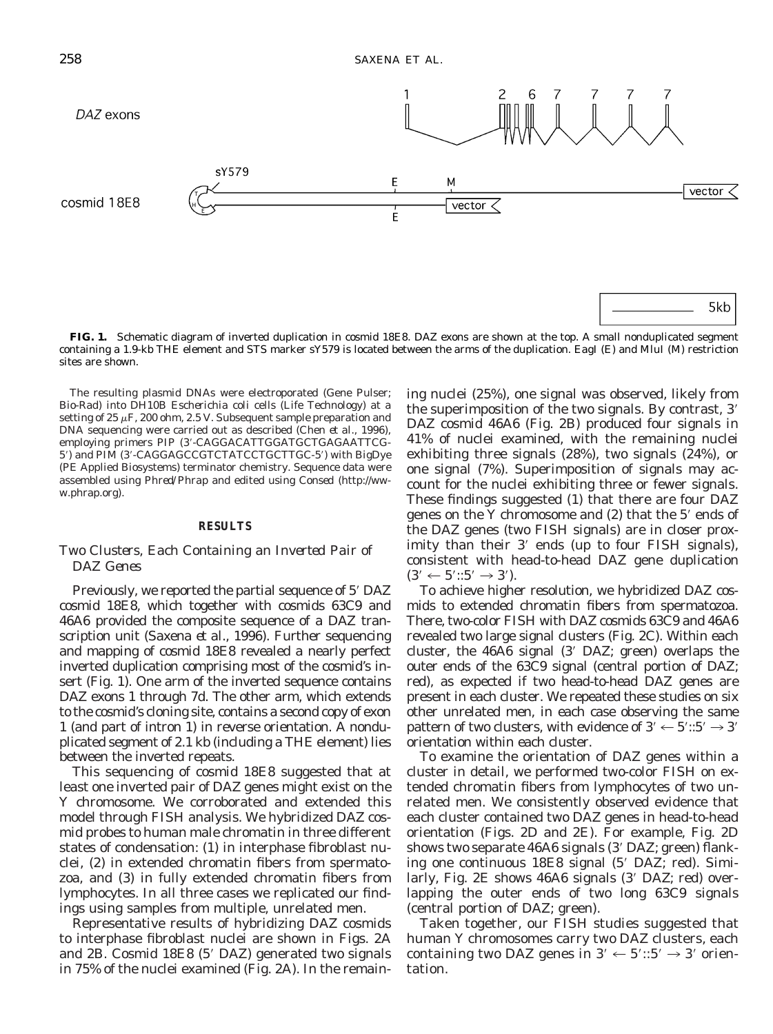

**FIG. 1.** Schematic diagram of inverted duplication in cosmid 18E8. *DAZ* exons are shown at the top. A small nonduplicated segment containing a 1.9-kb THE element and STS marker sY579 is located between the arms of the duplication. *Eag*I (E) and *Mlu*I (M) restriction sites are shown.

The resulting plasmid DNAs were electroporated (Gene Pulser; Bio-Rad) into DH10B *Escherichia coli* cells (Life Technology) at a setting of 25  $\mu$ F, 200 ohm, 2.5 V. Subsequent sample preparation and DNA sequencing were carried out as described (Chen *et al.,* 1996), employing primers PIP (3'-CAGGACATTGGATGCTGAGAATTCG-5') and PIM (3'-CAGGAGCCGTCTATCCTGCTTGC-5') with BigDye (PE Applied Biosystems) terminator chemistry. Sequence data were assembled using *Phred/Phrap* and edited using *Consed* (http://www.phrap.org).

#### **RESULTS**

### *Two Clusters, Each Containing an Inverted Pair of DAZ Genes*

Previously, we reported the partial sequence of 5<sup>'</sup> DAZ cosmid 18E8, which together with cosmids 63C9 and 46A6 provided the composite sequence of a *DAZ* transcription unit (Saxena *et al.,* 1996). Further sequencing and mapping of cosmid 18E8 revealed a nearly perfect inverted duplication comprising most of the cosmid's insert (Fig. 1). One arm of the inverted sequence contains *DAZ* exons 1 through 7d. The other arm, which extends to the cosmid's cloning site, contains a second copy of exon 1 (and part of intron 1) in reverse orientation. A nonduplicated segment of 2.1 kb (including a THE element) lies between the inverted repeats.

This sequencing of cosmid 18E8 suggested that at least one inverted pair of *DAZ* genes might exist on the Y chromosome. We corroborated and extended this model through FISH analysis. We hybridized *DAZ* cosmid probes to human male chromatin in three different states of condensation: (1) in interphase fibroblast nuclei, (2) in extended chromatin fibers from spermatozoa, and (3) in fully extended chromatin fibers from lymphocytes. In all three cases we replicated our findings using samples from multiple, unrelated men.

Representative results of hybridizing *DAZ* cosmids to interphase fibroblast nuclei are shown in Figs. 2A and 2B. Cosmid 18E8 (5' *DAZ*) generated two signals in 75% of the nuclei examined (Fig. 2A). In the remain-

ing nuclei (25%), one signal was observed, likely from the superimposition of the two signals. By contrast, 3' *DAZ* cosmid 46A6 (Fig. 2B) produced four signals in 41% of nuclei examined, with the remaining nuclei exhibiting three signals (28%), two signals (24%), or one signal (7%). Superimposition of signals may account for the nuclei exhibiting three or fewer signals. These findings suggested (1) that there are four *DAZ* genes on the Y chromosome and  $(2)$  that the  $5'$  ends of the *DAZ* genes (two FISH signals) are in closer proximity than their 3' ends (up to four FISH signals), consistent with head-to-head *DAZ* gene duplication  $(3' \leftarrow 5'::5' \rightarrow 3').$ 

To achieve higher resolution, we hybridized *DAZ* cosmids to extended chromatin fibers from spermatozoa. There, two-color FISH with *DAZ* cosmids 63C9 and 46A6 revealed two large signal clusters (Fig. 2C). Within each cluster, the 46A6 signal (3' *DAZ;* green) overlaps the outer ends of the 63C9 signal (central portion of *DAZ;* red), as expected if two head-to-head *DAZ* genes are present in each cluster. We repeated these studies on six other unrelated men, in each case observing the same pattern of two clusters, with evidence of 3'  $\leftarrow$  5'::5'  $\rightarrow$  3' orientation within each cluster.

To examine the orientation of *DAZ* genes within a cluster in detail, we performed two-color FISH on extended chromatin fibers from lymphocytes of two unrelated men. We consistently observed evidence that each cluster contained two *DAZ* genes in head-to-head orientation (Figs. 2D and 2E). For example, Fig. 2D shows two separate 46A6 signals (39 *DAZ;* green) flanking one continuous 18E8 signal (5<sup>'</sup> DAZ; red). Similarly, Fig. 2E shows 46A6 signals (3' DAZ; red) overlapping the outer ends of two long 63C9 signals (central portion of *DAZ;* green).

Taken together, our FISH studies suggested that human Y chromosomes carry two *DAZ* clusters, each containing two *DAZ* genes in  $3' \leftarrow 5'::5' \rightarrow 3'$  orientation.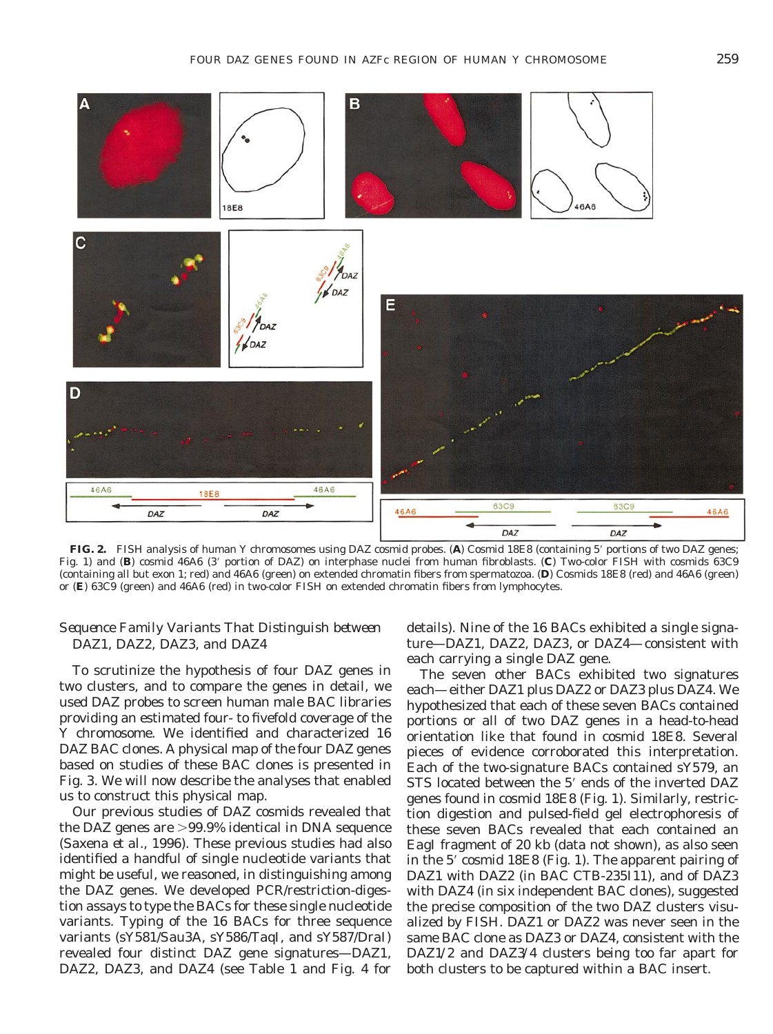

**FIG. 2.** FISH analysis of human Y chromosomes using *DAZ* cosmid probes. (A) Cosmid 18E8 (containing 5' portions of two *DAZ* genes; Fig. 1) and (**B**) cosmid 46A6 (3' portion of *DAZ*) on interphase nuclei from human fibroblasts. (**C**) Two-color FISH with cosmids 63C9 (containing all but exon 1; red) and 46A6 (green) on extended chromatin fibers from spermatozoa. (**D**) Cosmids 18E8 (red) and 46A6 (green) or (**E**) 63C9 (green) and 46A6 (red) in two-color FISH on extended chromatin fibers from lymphocytes.

# *Sequence Family Variants That Distinguish between DAZ1, DAZ2, DAZ3, and DAZ4*

To scrutinize the hypothesis of four *DAZ* genes in two clusters, and to compare the genes in detail, we used *DAZ* probes to screen human male BAC libraries providing an estimated four- to fivefold coverage of the Y chromosome. We identified and characterized 16 *DAZ* BAC clones. A physical map of the four *DAZ* genes based on studies of these BAC clones is presented in Fig. 3. We will now describe the analyses that enabled us to construct this physical map.

Our previous studies of *DAZ* cosmids revealed that the *DAZ* genes are  $>99.9\%$  identical in DNA sequence (Saxena *et al.,* 1996). These previous studies had also identified a handful of single nucleotide variants that might be useful, we reasoned, in distinguishing among the *DAZ* genes. We developed PCR/restriction-digestion assays to type the BACs for these single nucleotide variants. Typing of the 16 BACs for three sequence variants (sY581/*Sau*3A, sY586/*Taq*I, and sY587/*Dra*I) revealed four distinct *DAZ* gene signatures—*DAZ1, DAZ2, DAZ3,* and *DAZ4* (see Table 1 and Fig. 4 for details). Nine of the 16 BACs exhibited a single signature—*DAZ1, DAZ2, DAZ3,* or *DAZ4*—consistent with each carrying a single *DAZ* gene.

The seven other BACs exhibited two signatures each—either *DAZ1* plus *DAZ2* or *DAZ3* plus *DAZ4.* We hypothesized that each of these seven BACs contained portions or all of two *DAZ* genes in a head-to-head orientation like that found in cosmid 18E8. Several pieces of evidence corroborated this interpretation. Each of the two-signature BACs contained sY579, an STS located between the 5' ends of the inverted *DAZ* genes found in cosmid 18E8 (Fig. 1). Similarly, restriction digestion and pulsed-field gel electrophoresis of these seven BACs revealed that each contained an *Eag*I fragment of 20 kb (data not shown), as also seen in the 5' cosmid 18E8 (Fig. 1). The apparent pairing of *DAZ1* with *DAZ2* (in BAC CTB-235I11), and of *DAZ3* with *DAZ4* (in six independent BAC clones), suggested the precise composition of the two *DAZ* clusters visualized by FISH. *DAZ1* or *DAZ2* was never seen in the same BAC clone as *DAZ3* or *DAZ4,* consistent with the *DAZ1/2* and *DAZ3/4* clusters being too far apart for both clusters to be captured within a BAC insert.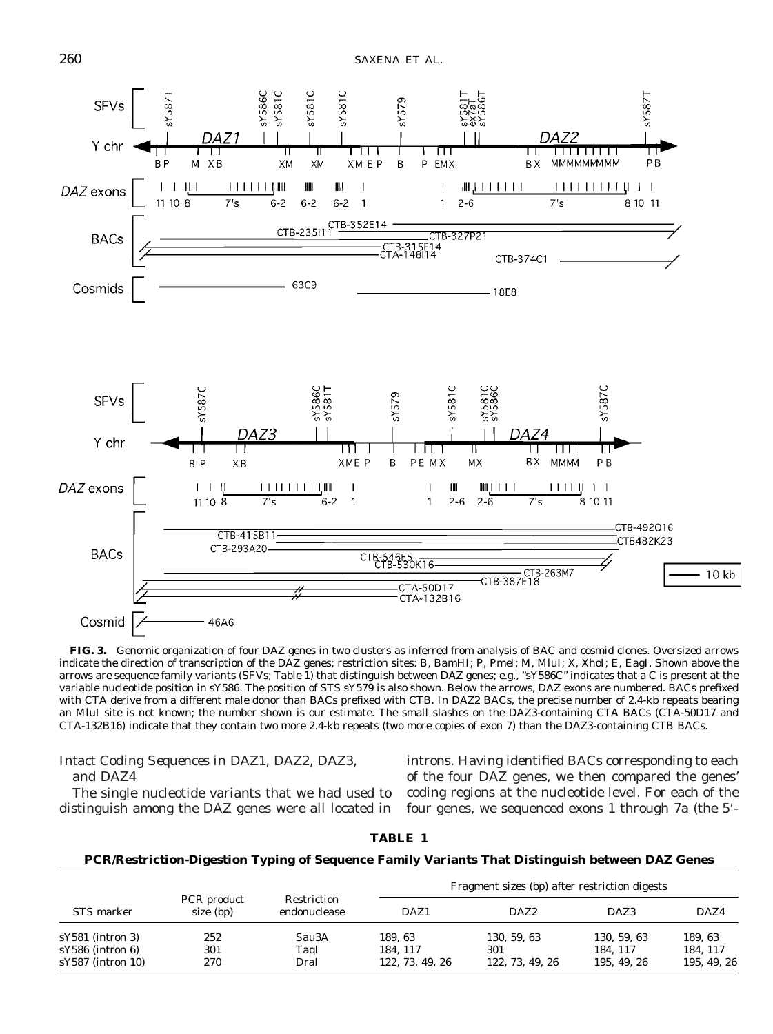

**FIG. 3.** Genomic organization of four *DAZ* genes in two clusters as inferred from analysis of BAC and cosmid clones. Oversized arrows indicate the direction of transcription of the *DAZ* genes; restriction sites: B, *Bam*HI; P, *Pme*I; M, *Mlu*I; X, *Xho*I; E, *Eag*I. Shown above the arrows are sequence family variants (SFVs; Table 1) that distinguish between *DAZ* genes; e.g., "sY586C" indicates that a C is present at the variable nucleotide position in sY586. The position of STS sY579 is also shown. Below the arrows, *DAZ* exons are numbered. BACs prefixed with CTA derive from a different male donor than BACs prefixed with CTB. In *DAZ2* BACs, the precise number of 2.4-kb repeats bearing an *Mlu*I site is not known; the number shown is our estimate. The small slashes on the *DAZ3*-containing CTA BACs (CTA-50D17 and CTA-132B16) indicate that they contain two more 2.4-kb repeats (two more copies of exon 7) than the *DAZ3*-containing CTB BACs.

# *Intact Coding Sequences in DAZ1, DAZ2, DAZ3, and DAZ4*

introns. Having identified BACs corresponding to each of the four *DAZ* genes, we then compared the genes' coding regions at the nucleotide level. For each of the four genes, we sequenced exons 1 through  $7a$  (the  $5'$ -

The single nucleotide variants that we had used to distinguish among the *DAZ* genes were all located in

**TABLE 1**

| STS marker                                | PCR product<br>size (bp) | Restriction<br>endonuclease | Fragment sizes (bp) after restriction digests |                        |                        |                        |
|-------------------------------------------|--------------------------|-----------------------------|-----------------------------------------------|------------------------|------------------------|------------------------|
|                                           |                          |                             | DAZ1                                          | DAZ2                   | DAZ3                   | DAZ4                   |
| $sY581$ (intron 3)                        | 252                      | Sau3A                       | 189.63                                        | 130, 59, 63            | 130, 59, 63            | 189.63                 |
| $sY586$ (intron 6)<br>$sY587$ (intron 10) | 301<br>270               | TaqI<br>DraI                | 184.117<br>122, 73, 49, 26                    | 301<br>122, 73, 49, 26 | 184.117<br>195, 49, 26 | 184.117<br>195, 49, 26 |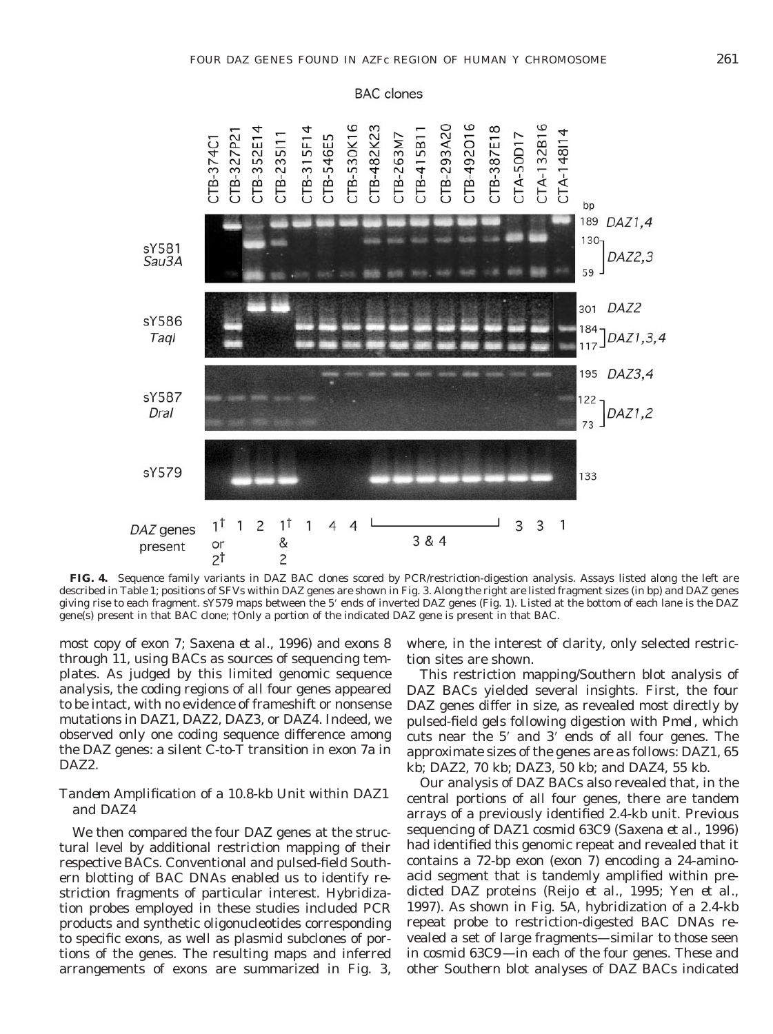**BAC** clones



**FIG. 4.** Sequence family variants in *DAZ* BAC clones scored by PCR/restriction-digestion analysis. Assays listed along the left are described in Table 1; positions of SFVs within *DAZ* genes are shown in Fig. 3. Along the right are listed fragment sizes (in bp) and *DAZ* genes giving rise to each fragment. sY579 maps between the 5' ends of inverted *DAZ* genes (Fig. 1). Listed at the bottom of each lane is the *DAZ* gene(s) present in that BAC clone; †Only a portion of the indicated *DAZ* gene is present in that BAC.

most copy of exon 7; Saxena *et al.,* 1996) and exons 8 through 11, using BACs as sources of sequencing templates. As judged by this limited genomic sequence analysis, the coding regions of all four genes appeared to be intact, with no evidence of frameshift or nonsense mutations in *DAZ1, DAZ2, DAZ3,* or *DAZ4.* Indeed, we observed only one coding sequence difference among the *DAZ* genes: a silent C-to-T transition in exon 7a in *DAZ2.*

## *Tandem Amplification of a 10.8-kb Unit within DAZ1 and DAZ4*

We then compared the four *DAZ* genes at the structural level by additional restriction mapping of their respective BACs. Conventional and pulsed-field Southern blotting of BAC DNAs enabled us to identify restriction fragments of particular interest. Hybridization probes employed in these studies included PCR products and synthetic oligonucleotides corresponding to specific exons, as well as plasmid subclones of portions of the genes. The resulting maps and inferred arrangements of exons are summarized in Fig. 3,

where, in the interest of clarity, only selected restriction sites are shown.

This restriction mapping/Southern blot analysis of *DAZ* BACs yielded several insights. First, the four *DAZ* genes differ in size, as revealed most directly by pulsed-field gels following digestion with *Pme*I, which cuts near the  $5'$  and  $3'$  ends of all four genes. The approximate sizes of the genes are as follows: *DAZ1,* 65 kb; *DAZ2,* 70 kb; *DAZ3,* 50 kb; and *DAZ4,* 55 kb.

Our analysis of *DAZ* BACs also revealed that, in the central portions of all four genes, there are tandem arrays of a previously identified 2.4-kb unit. Previous sequencing of *DAZ1* cosmid 63C9 (Saxena *et al.,* 1996) had identified this genomic repeat and revealed that it contains a 72-bp exon (exon 7) encoding a 24-aminoacid segment that is tandemly amplified within predicted DAZ proteins (Reijo *et al.,* 1995; Yen *et al.,* 1997). As shown in Fig. 5A, hybridization of a 2.4-kb repeat probe to restriction-digested BAC DNAs revealed a set of large fragments—similar to those seen in cosmid 63C9—in each of the four genes. These and other Southern blot analyses of *DAZ* BACs indicated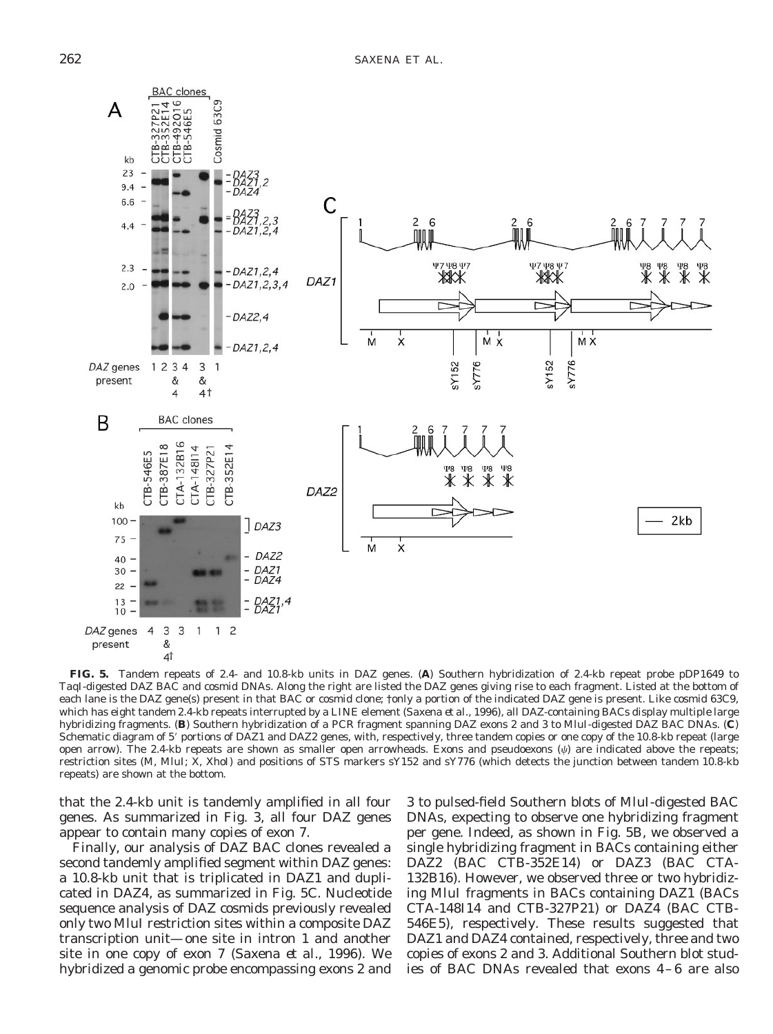

**FIG. 5.** Tandem repeats of 2.4- and 10.8-kb units in *DAZ* genes. (**A**) Southern hybridization of 2.4-kb repeat probe pDP1649 to *Taq*I-digested *DAZ* BAC and cosmid DNAs. Along the right are listed the *DAZ* genes giving rise to each fragment. Listed at the bottom of each lane is the *DAZ* gene(s) present in that BAC or cosmid clone; †only a portion of the indicated *DAZ* gene is present. Like cosmid 63C9, which has eight tandem 2.4-kb repeats interrupted by a LINE element (Saxena *et al.,* 1996), all *DAZ*-containing BACs display multiple large hybridizing fragments. (**B**) Southern hybridization of a PCR fragment spanning *DAZ* exons 2 and 3 to *Mlu*I-digested *DAZ* BAC DNAs. (**C**) Schematic diagram of 5' portions of *DAZ1* and *DAZ2* genes, with, respectively, three tandem copies or one copy of the 10.8-kb repeat (large open arrow). The 2.4-kb repeats are shown as smaller open arrowheads. Exons and pseudoexons  $(\psi)$  are indicated above the repeats; restriction sites (M, *Mlu*I; X, *Xho*I) and positions of STS markers sY152 and sY776 (which detects the junction between tandem 10.8-kb repeats) are shown at the bottom.

that the 2.4-kb unit is tandemly amplified in all four genes. As summarized in Fig. 3, all four *DAZ* genes appear to contain many copies of exon 7.

Finally, our analysis of *DAZ* BAC clones revealed a second tandemly amplified segment within *DAZ* genes: a 10.8-kb unit that is triplicated in *DAZ1* and duplicated in *DAZ4,* as summarized in Fig. 5C. Nucleotide sequence analysis of *DAZ* cosmids previously revealed only two *Mlu*I restriction sites within a composite *DAZ* transcription unit—one site in intron 1 and another site in one copy of exon 7 (Saxena *et al.,* 1996). We hybridized a genomic probe encompassing exons 2 and

3 to pulsed-field Southern blots of *Mlu*I-digested BAC DNAs, expecting to observe one hybridizing fragment per gene. Indeed, as shown in Fig. 5B, we observed a single hybridizing fragment in BACs containing either *DAZ2* (BAC CTB-352E14) or *DAZ3* (BAC CTA-132B16). However, we observed three or two hybridizing *Mlu*I fragments in BACs containing *DAZ1* (BACs CTA-148I14 and CTB-327P21) or *DAZ4* (BAC CTB-546E5), respectively. These results suggested that *DAZ1* and *DAZ4* contained, respectively, three and two copies of exons 2 and 3. Additional Southern blot studies of BAC DNAs revealed that exons 4–6 are also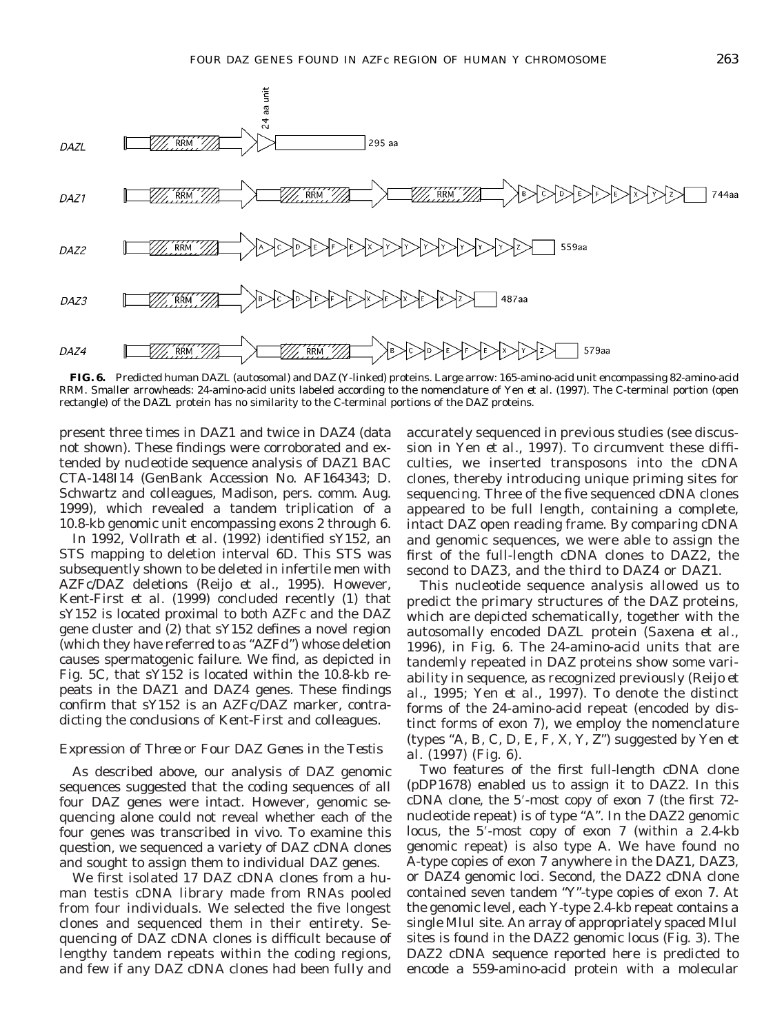

**FIG. 6.** Predicted human DAZL (autosomal) and DAZ (Y-linked) proteins. Large arrow: 165-amino-acid unit encompassing 82-amino-acid RRM. Smaller arrowheads: 24-amino-acid units labeled according to the nomenclature of Yen *et al.* (1997). The C-terminal portion (open rectangle) of the DAZL protein has no similarity to the C-terminal portions of the DAZ proteins.

present three times in *DAZ1* and twice in *DAZ4* (data not shown). These findings were corroborated and extended by nucleotide sequence analysis of *DAZ1* BAC CTA-148I14 (GenBank Accession No. AF164343; D. Schwartz and colleagues, Madison, pers. comm. Aug. 1999), which revealed a tandem triplication of a 10.8-kb genomic unit encompassing exons 2 through 6.

In 1992, Vollrath *et al.* (1992) identified sY152, an STS mapping to deletion interval 6D. This STS was subsequently shown to be deleted in infertile men with *AZFc*/*DAZ* deletions (Reijo *et al.,* 1995). However, Kent-First *et al.* (1999) concluded recently (1) that sY152 is located proximal to both *AZFc* and the *DAZ* gene cluster and (2) that sY152 defines a novel region (which they have referred to as "*AZFd*") whose deletion causes spermatogenic failure. We find, as depicted in Fig. 5C, that sY152 is located within the 10.8-kb repeats in the *DAZ1* and *DAZ4* genes. These findings confirm that sY152 is an *AZFc*/*DAZ* marker, contradicting the conclusions of Kent-First and colleagues.

#### *Expression of Three or Four DAZ Genes in the Testis*

As described above, our analysis of *DAZ* genomic sequences suggested that the coding sequences of all four *DAZ* genes were intact. However, genomic sequencing alone could not reveal whether each of the four genes was transcribed *in vivo.* To examine this question, we sequenced a variety of *DAZ* cDNA clones and sought to assign them to individual *DAZ* genes.

We first isolated 17 *DAZ* cDNA clones from a human testis cDNA library made from RNAs pooled from four individuals. We selected the five longest clones and sequenced them in their entirety. Sequencing of *DAZ* cDNA clones is difficult because of lengthy tandem repeats within the coding regions, and few if any *DAZ* cDNA clones had been fully and accurately sequenced in previous studies (see discussion in Yen *et al.,* 1997). To circumvent these difficulties, we inserted transposons into the cDNA clones, thereby introducing unique priming sites for sequencing. Three of the five sequenced cDNA clones appeared to be full length, containing a complete, intact *DAZ* open reading frame. By comparing cDNA and genomic sequences, we were able to assign the first of the full-length cDNA clones to *DAZ2,* the second to *DAZ3,* and the third to *DAZ4* or *DAZ1.*

This nucleotide sequence analysis allowed us to predict the primary structures of the DAZ proteins, which are depicted schematically, together with the autosomally encoded DAZL protein (Saxena *et al.,* 1996), in Fig. 6. The 24-amino-acid units that are tandemly repeated in DAZ proteins show some variability in sequence, as recognized previously (Reijo *et al.,* 1995; Yen *et al.,* 1997). To denote the distinct forms of the 24-amino-acid repeat (encoded by distinct forms of exon 7), we employ the nomenclature (types "A, B, C, D, E, F, X, Y, Z") suggested by Yen *et al.* (1997) (Fig. 6).

Two features of the first full-length cDNA clone (pDP1678) enabled us to assign it to *DAZ2.* In this  $cDNA$  clone, the 5'-most copy of exon 7 (the first 72nucleotide repeat) is of type "A". In the *DAZ2* genomic locus, the  $5'$ -most copy of exon  $7$  (within a 2.4-kb) genomic repeat) is also type A. We have found no A-type copies of exon 7 anywhere in the *DAZ1, DAZ3,* or *DAZ4* genomic loci. Second, the *DAZ2* cDNA clone contained seven tandem "Y"-type copies of exon 7. At the genomic level, each Y-type 2.4-kb repeat contains a single *Mlu*I site. An array of appropriately spaced *Mlu*I sites is found in the *DAZ2* genomic locus (Fig. 3). The *DAZ2* cDNA sequence reported here is predicted to encode a 559-amino-acid protein with a molecular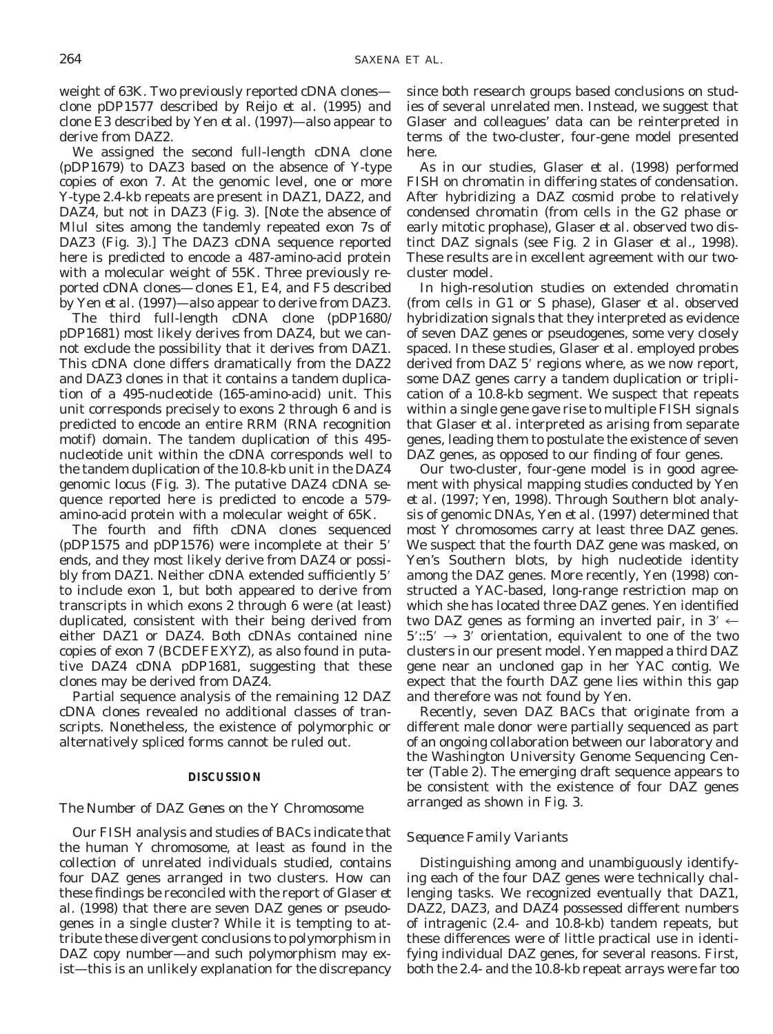weight of 63K. Two previously reported cDNA clones clone pDP1577 described by Reijo *et al.* (1995) and clone E3 described by Yen *et al.* (1997)—also appear to derive from *DAZ2.*

We assigned the second full-length cDNA clone (pDP1679) to *DAZ3* based on the absence of Y-type copies of exon 7. At the genomic level, one or more Y-type 2.4-kb repeats are present in *DAZ1, DAZ2,* and *DAZ4,* but not in *DAZ3* (Fig. 3). [Note the absence of *Mlu*I sites among the tandemly repeated exon 7s of *DAZ3* (Fig. 3).] The *DAZ3* cDNA sequence reported here is predicted to encode a 487-amino-acid protein with a molecular weight of 55K. Three previously reported cDNA clones—clones E1, E4, and F5 described by Yen *et al.* (1997)—also appear to derive from *DAZ3.*

The third full-length cDNA clone (pDP1680/ pDP1681) most likely derives from *DAZ4,* but we cannot exclude the possibility that it derives from *DAZ1.* This cDNA clone differs dramatically from the *DAZ2* and *DAZ3* clones in that it contains a tandem duplication of a 495-nucleotide (165-amino-acid) unit. This unit corresponds precisely to exons 2 through 6 and is predicted to encode an entire RRM (RNA recognition motif) domain. The tandem duplication of this 495 nucleotide unit within the cDNA corresponds well to the tandem duplication of the 10.8-kb unit in the *DAZ4* genomic locus (Fig. 3). The putative *DAZ4* cDNA sequence reported here is predicted to encode a 579 amino-acid protein with a molecular weight of 65K.

The fourth and fifth cDNA clones sequenced (pDP1575 and pDP1576) were incomplete at their  $5'$ ends, and they most likely derive from *DAZ4* or possibly from *DAZ1*. Neither cDNA extended sufficiently 5' to include exon 1, but both appeared to derive from transcripts in which exons 2 through 6 were (at least) duplicated, consistent with their being derived from either *DAZ1* or *DAZ4.* Both cDNAs contained nine copies of exon 7 (BCDEFEXYZ), as also found in putative *DAZ4* cDNA pDP1681, suggesting that these clones may be derived from *DAZ4.*

Partial sequence analysis of the remaining 12 *DAZ* cDNA clones revealed no additional classes of transcripts. Nonetheless, the existence of polymorphic or alternatively spliced forms cannot be ruled out.

#### **DISCUSSION**

# *The Number of DAZ Genes on the Y Chromosome*

Our FISH analysis and studies of BACs indicate that the human Y chromosome, at least as found in the collection of unrelated individuals studied, contains four *DAZ* genes arranged in two clusters. How can these findings be reconciled with the report of Glaser *et al.* (1998) that there are seven *DAZ* genes or pseudogenes in a single cluster? While it is tempting to attribute these divergent conclusions to polymorphism in *DAZ* copy number—and such polymorphism may exist—this is an unlikely explanation for the discrepancy since both research groups based conclusions on studies of several unrelated men. Instead, we suggest that Glaser and colleagues' data can be reinterpreted in terms of the two-cluster, four-gene model presented here.

As in our studies, Glaser *et al.* (1998) performed FISH on chromatin in differing states of condensation. After hybridizing a *DAZ* cosmid probe to relatively condensed chromatin (from cells in the G2 phase or early mitotic prophase), Glaser *et al.* observed two distinct *DAZ* signals (see Fig. 2 in Glaser *et al.,* 1998). These results are in excellent agreement with our twocluster model.

In high-resolution studies on extended chromatin (from cells in G1 or S phase), Glaser *et al.* observed hybridization signals that they interpreted as evidence of seven *DAZ* genes or pseudogenes, some very closely spaced. In these studies, Glaser *et al.* employed probes derived from *DAZ* 5' regions where, as we now report, some *DAZ* genes carry a tandem duplication or triplication of a 10.8-kb segment. We suspect that repeats within a single gene gave rise to multiple FISH signals that Glaser *et al.* interpreted as arising from separate genes, leading them to postulate the existence of seven *DAZ* genes, as opposed to our finding of four genes.

Our two-cluster, four-gene model is in good agreement with physical mapping studies conducted by Yen *et al.* (1997; Yen, 1998). Through Southern blot analysis of genomic DNAs, Yen *et al.* (1997) determined that most Y chromosomes carry at least three *DAZ* genes. We suspect that the fourth *DAZ* gene was masked, on Yen's Southern blots, by high nucleotide identity among the *DAZ* genes. More recently, Yen (1998) constructed a YAC-based, long-range restriction map on which she has located three *DAZ* genes. Yen identified two *DAZ* genes as forming an inverted pair, in 3'  $\leftarrow$  $5'::5' \rightarrow 3'$  orientation, equivalent to one of the two clusters in our present model. Yen mapped a third *DAZ* gene near an uncloned gap in her YAC contig. We expect that the fourth *DAZ* gene lies within this gap and therefore was not found by Yen.

Recently, seven *DAZ* BACs that originate from a different male donor were partially sequenced as part of an ongoing collaboration between our laboratory and the Washington University Genome Sequencing Center (Table 2). The emerging draft sequence appears to be consistent with the existence of four *DAZ* genes arranged as shown in Fig. 3.

# *Sequence Family Variants*

Distinguishing among and unambiguously identifying each of the four *DAZ* genes were technically challenging tasks. We recognized eventually that *DAZ1, DAZ2, DAZ3,* and *DAZ4* possessed different numbers of intragenic (2.4- and 10.8-kb) tandem repeats, but these differences were of little practical use in identifying individual *DAZ* genes, for several reasons. First, both the 2.4- and the 10.8-kb repeat arrays were far too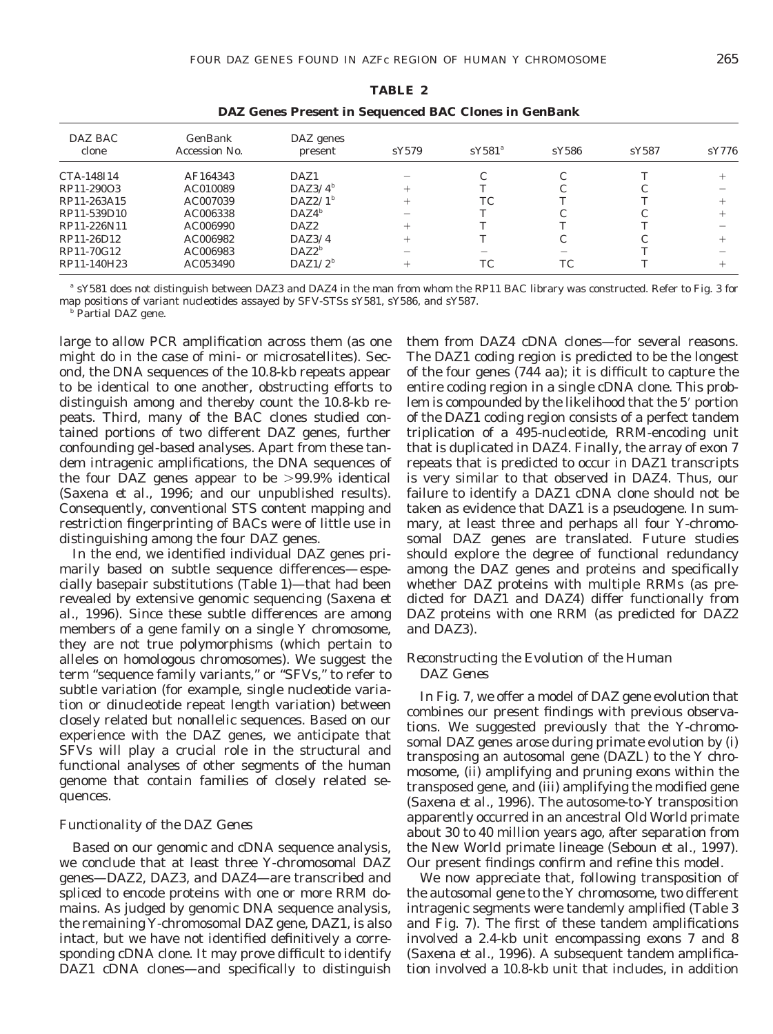| п.<br>u<br>ш<br>. . |
|---------------------|
|---------------------|

| DAZ BAC<br>clone | GenBank<br>Accession No. | $DAZ$ genes<br>present | sY579  | $sY581^a$ | sY586 | sY587 | sY776 |
|------------------|--------------------------|------------------------|--------|-----------|-------|-------|-------|
| CTA-148I14       | AF164343                 | DAZ1                   |        |           |       |       |       |
| RP11-290O3       | AC010089                 | $DAZ3/4^b$             | $^+$   |           |       |       |       |
| RP11-263A15      | AC007039                 | $DAZ2/I^b$             | $^{+}$ | <b>TC</b> |       |       |       |
| RP11-539D10      | AC006338                 | $DAZ4^b$               |        |           |       |       |       |
| RP11-226N11      | AC006990                 | DAZ2                   | $^+$   |           |       |       |       |
| RP11-26D12       | AC006982                 | DAZ3/4                 | $^+$   |           |       |       |       |
| RP11-70G12       | AC006983                 | $DAZ2^b$               |        |           |       |       |       |
| RP11-140H23      | AC053490                 | $DAZ1/2^b$             | $^{+}$ | TC        | TC    |       |       |
|                  |                          |                        |        |           |       |       |       |

*DAZ* **Genes Present in Sequenced BAC Clones in GenBank**

*<sup>a</sup>* sY581 does not distinguish between *DAZ3* and *DAZ4* in the man from whom the RP11 BAC library was constructed. Refer to Fig. 3 for map positions of variant nucleotides assayed by SFV-STSs sY581, sY586, and sY587.

*<sup>b</sup>* Partial *DAZ* gene.

large to allow PCR amplification across them (as one might do in the case of mini- or microsatellites). Second, the DNA sequences of the 10.8-kb repeats appear to be identical to one another, obstructing efforts to distinguish among and thereby count the 10.8-kb repeats. Third, many of the BAC clones studied contained portions of two different *DAZ* genes, further confounding gel-based analyses. Apart from these tandem intragenic amplifications, the DNA sequences of the four *DAZ* genes appear to be  $>99.9\%$  identical (Saxena *et al.,* 1996; and our unpublished results). Consequently, conventional STS content mapping and restriction fingerprinting of BACs were of little use in distinguishing among the four *DAZ* genes.

In the end, we identified individual *DAZ* genes primarily based on subtle sequence differences—especially basepair substitutions (Table 1)—that had been revealed by extensive genomic sequencing (Saxena *et al.,* 1996). Since these subtle differences are among members of a gene family on a single Y chromosome, they are not true polymorphisms (which pertain to alleles on homologous chromosomes). We suggest the term "sequence family variants," or "SFVs," to refer to subtle variation (for example, single nucleotide variation or dinucleotide repeat length variation) between closely related but nonallelic sequences. Based on our experience with the *DAZ* genes, we anticipate that SFVs will play a crucial role in the structural and functional analyses of other segments of the human genome that contain families of closely related sequences.

## *Functionality of the DAZ Genes*

Based on our genomic and cDNA sequence analysis, we conclude that at least three Y-chromosomal *DAZ* genes—*DAZ2, DAZ3,* and *DAZ4*—are transcribed and spliced to encode proteins with one or more RRM domains. As judged by genomic DNA sequence analysis, the remaining Y-chromosomal *DAZ* gene, *DAZ1,* is also intact, but we have not identified definitively a corresponding cDNA clone. It may prove difficult to identify *DAZ1* cDNA clones—and specifically to distinguish them from *DAZ4* cDNA clones—for several reasons. The *DAZ1* coding region is predicted to be the longest of the four genes (744 aa); it is difficult to capture the entire coding region in a single cDNA clone. This problem is compounded by the likelihood that the 5' portion of the *DAZ1* coding region consists of a perfect tandem triplication of a 495-nucleotide, RRM-encoding unit that is duplicated in *DAZ4.* Finally, the array of exon 7 repeats that is predicted to occur in *DAZ1* transcripts is very similar to that observed in *DAZ4.* Thus, our failure to identify a *DAZ1* cDNA clone should not be taken as evidence that *DAZ1* is a pseudogene. In summary, at least three and perhaps all four Y-chromosomal *DAZ* genes are translated. Future studies should explore the degree of functional redundancy among the *DAZ* genes and proteins and specifically whether DAZ proteins with multiple RRMs (as predicted for DAZ1 and DAZ4) differ functionally from DAZ proteins with one RRM (as predicted for DAZ2 and DAZ3).

## *Reconstructing the Evolution of the Human DAZ Genes*

In Fig. 7, we offer a model of *DAZ* gene evolution that combines our present findings with previous observations. We suggested previously that the Y-chromosomal *DAZ* genes arose during primate evolution by (i) transposing an autosomal gene (*DAZL*) to the Y chromosome, (ii) amplifying and pruning exons within the transposed gene, and (iii) amplifying the modified gene (Saxena *et al.,* 1996). The autosome-to-Y transposition apparently occurred in an ancestral Old World primate about 30 to 40 million years ago, after separation from the New World primate lineage (Seboun *et al.,* 1997). Our present findings confirm and refine this model.

We now appreciate that, following transposition of the autosomal gene to the Y chromosome, two different intragenic segments were tandemly amplified (Table 3 and Fig. 7). The first of these tandem amplifications involved a 2.4-kb unit encompassing exons 7 and 8 (Saxena *et al.,* 1996). A subsequent tandem amplification involved a 10.8-kb unit that includes, in addition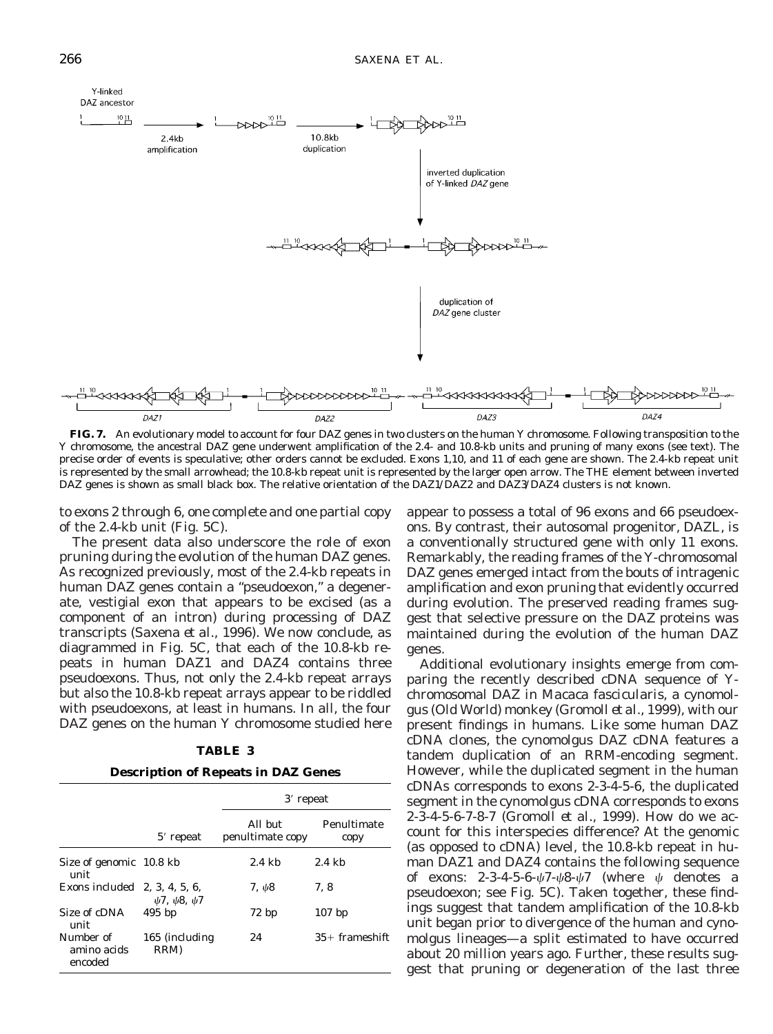

**FIG. 7.** An evolutionary model to account for four *DAZ* genes in two clusters on the human Y chromosome. Following transposition to the Y chromosome, the ancestral *DAZ* gene underwent amplification of the 2.4- and 10.8-kb units and pruning of many exons (see text). The precise order of events is speculative; other orders cannot be excluded. Exons 1,10, and 11 of each gene are shown. The 2.4-kb repeat unit is represented by the small arrowhead; the 10.8-kb repeat unit is represented by the larger open arrow. The THE element between inverted *DAZ* genes is shown as small black box. The relative orientation of the *DAZ1/DAZ2* and *DAZ3/DAZ4* clusters is not known.

to exons 2 through 6, one complete and one partial copy of the 2.4-kb unit (Fig. 5C).

The present data also underscore the role of exon pruning during the evolution of the human *DAZ* genes. As recognized previously, most of the 2.4-kb repeats in human *DAZ* genes contain a "pseudoexon," a degenerate, vestigial exon that appears to be excised (as a component of an intron) during processing of *DAZ* transcripts (Saxena *et al.,* 1996). We now conclude, as diagrammed in Fig. 5C, that each of the 10.8-kb repeats in human *DAZ1* and *DAZ4* contains three pseudoexons. Thus, not only the 2.4-kb repeat arrays but also the 10.8-kb repeat arrays appear to be riddled with pseudoexons, at least in humans. In all, the four *DAZ* genes on the human Y chromosome studied here

| TABLE |  |  |
|-------|--|--|
|-------|--|--|

#### **Description of Repeats in** *DAZ* **Genes**

|                                     |                              | 3' repeat                   |                     |  |
|-------------------------------------|------------------------------|-----------------------------|---------------------|--|
|                                     | $5'$ repeat                  | All but<br>penultimate copy | Penultimate<br>copy |  |
| Size of genomic 10.8 kb<br>unit     |                              | $2.4 \text{ kb}$            | $2.4 \text{ kb}$    |  |
| Exons included $2, 3, 4, 5, 6$ ,    | $\psi$ 7, $\psi$ 8, $\psi$ 7 | 7, $\psi$ 8                 | 7.8                 |  |
| Size of cDNA<br>unit                | $495$ bp                     | 72bp                        | $107$ bp            |  |
| Number of<br>amino acids<br>encoded | 165 (including<br>RRM)       | 24                          | $35+$ frameshift    |  |

appear to possess a total of 96 exons and 66 pseudoexons. By contrast, their autosomal progenitor, *DAZL,* is a conventionally structured gene with only 11 exons. Remarkably, the reading frames of the Y-chromosomal *DAZ* genes emerged intact from the bouts of intragenic amplification and exon pruning that evidently occurred during evolution. The preserved reading frames suggest that selective pressure on the DAZ proteins was maintained during the evolution of the human *DAZ* genes.

Additional evolutionary insights emerge from comparing the recently described cDNA sequence of Ychromosomal *DAZ* in *Macaca fascicularis,* a cynomolgus (Old World) monkey (Gromoll *et al.,* 1999), with our present findings in humans. Like some human *DAZ* cDNA clones, the cynomolgus *DAZ* cDNA features a tandem duplication of an RRM-encoding segment. However, while the duplicated segment in the human cDNAs corresponds to exons 2-3-4-5-6, the duplicated segment in the cynomolgus cDNA corresponds to exons 2-3-4-5-6-7-8-7 (Gromoll *et al.,* 1999). How do we account for this interspecies difference? At the genomic (as opposed to cDNA) level, the 10.8-kb repeat in human *DAZ1* and *DAZ4* contains the following sequence of exons:  $2-3-4-5-6-\sqrt{7}-\sqrt{8}-\sqrt{7}$  (where  $\psi$  denotes a pseudoexon; see Fig. 5C). Taken together, these findings suggest that tandem amplification of the 10.8-kb unit began prior to divergence of the human and cynomolgus lineages—a split estimated to have occurred about 20 million years ago. Further, these results suggest that pruning or degeneration of the last three